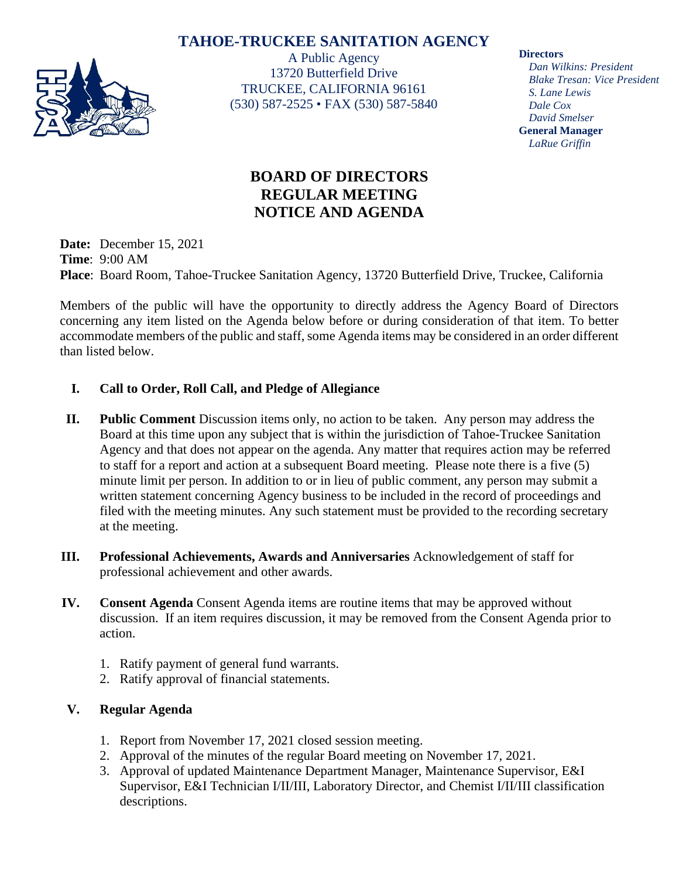## **TAHOE-TRUCKEE SANITATION AGENCY**



A Public Agency 13720 Butterfield Drive TRUCKEE, CALIFORNIA 96161 (530) 587-2525 • FAX (530) 587-5840 **Directors**

*Dan Wilkins: President Blake Tresan: Vice President S. Lane Lewis Dale Cox David Smelser* **General Manager** *LaRue Griffin*

# **BOARD OF DIRECTORS REGULAR MEETING NOTICE AND AGENDA**

**Date:** December 15, 2021 **Time**: 9:00 AM **Place**: Board Room, Tahoe-Truckee Sanitation Agency, 13720 Butterfield Drive, Truckee, California

Members of the public will have the opportunity to directly address the Agency Board of Directors concerning any item listed on the Agenda below before or during consideration of that item. To better accommodate members of the public and staff, some Agenda items may be considered in an order different than listed below.

## **I. Call to Order, Roll Call, and Pledge of Allegiance**

- **II. Public Comment** Discussion items only, no action to be taken. Any person may address the Board at this time upon any subject that is within the jurisdiction of Tahoe-Truckee Sanitation Agency and that does not appear on the agenda. Any matter that requires action may be referred to staff for a report and action at a subsequent Board meeting. Please note there is a five (5) minute limit per person. In addition to or in lieu of public comment, any person may submit a written statement concerning Agency business to be included in the record of proceedings and filed with the meeting minutes. Any such statement must be provided to the recording secretary at the meeting.
- **III. Professional Achievements, Awards and Anniversaries** Acknowledgement of staff for professional achievement and other awards.
- **IV. Consent Agenda** Consent Agenda items are routine items that may be approved without discussion. If an item requires discussion, it may be removed from the Consent Agenda prior to action.
	- 1. Ratify payment of general fund warrants.
	- 2. Ratify approval of financial statements.

## **V. Regular Agenda**

- 1. Report from November 17, 2021 closed session meeting.
- 2. Approval of the minutes of the regular Board meeting on November 17, 2021.
- 3. Approval of updated Maintenance Department Manager, Maintenance Supervisor, E&I Supervisor, E&I Technician I/II/III, Laboratory Director, and Chemist I/II/III classification descriptions.